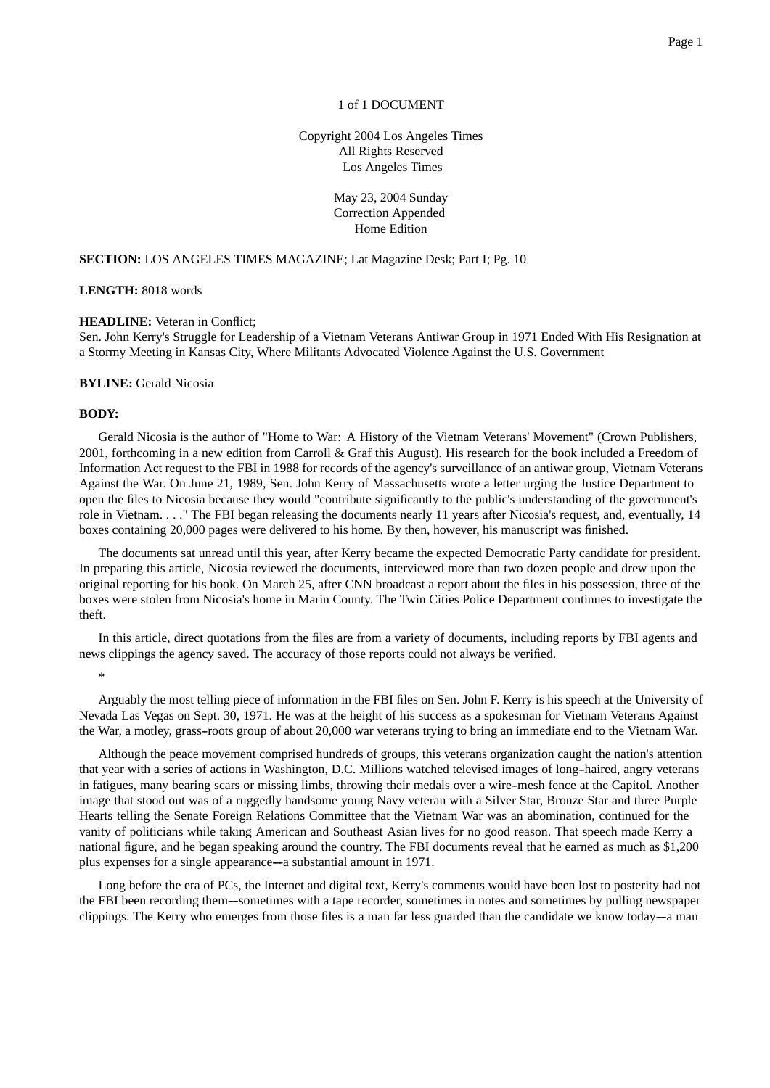# 1 of 1 DOCUMENT

Copyright 2004 Los Angeles Times All Rights Reserved Los Angeles Times

> May 23, 2004 Sunday Correction Appended Home Edition

## **SECTION:** LOS ANGELES TIMES MAGAZINE; Lat Magazine Desk; Part I; Pg. 10

**LENGTH:** 8018 words

## **HEADLINE:** Veteran in Conflict;

Sen. John Kerry's Struggle for Leadership of a Vietnam Veterans Antiwar Group in 1971 Ended With His Resignation at a Stormy Meeting in Kansas City, Where Militants Advocated Violence Against the U.S. Government

#### **BYLINE:** Gerald Nicosia

### **BODY:**

Gerald Nicosia is the author of "Home to War: A History of the Vietnam Veterans' Movement" (Crown Publishers, 2001, forthcoming in a new edition from Carroll & Graf this August). His research for the book included a Freedom of Information Act request to the FBI in 1988 for records of the agency's surveillance of an antiwar group, Vietnam Veterans Against the War. On June 21, 1989, Sen. John Kerry of Massachusetts wrote a letter urging the Justice Department to open the files to Nicosia because they would "contribute significantly to the public's understanding of the government's role in Vietnam. . . ." The FBI began releasing the documents nearly 11 years after Nicosia's request, and, eventually, 14 boxes containing 20,000 pages were delivered to his home. By then, however, his manuscript was finished.

The documents sat unread until this year, after Kerry became the expected Democratic Party candidate for president. In preparing this article, Nicosia reviewed the documents, interviewed more than two dozen people and drew upon the original reporting for his book. On March 25, after CNN broadcast a report about the files in his possession, three of the boxes were stolen from Nicosia's home in Marin County. The Twin Cities Police Department continues to investigate the theft.

In this article, direct quotations from the files are from a variety of documents, including reports by FBI agents and news clippings the agency saved. The accuracy of those reports could not always be verified.

\*

Arguably the most telling piece of information in the FBI files on Sen. John F. Kerry is his speech at the University of Nevada Las Vegas on Sept. 30, 1971. He was at the height of his success as a spokesman for Vietnam Veterans Against the War, a motley, grass--roots group of about 20,000 war veterans trying to bring an immediate end to the Vietnam War.

Although the peace movement comprised hundreds of groups, this veterans organization caught the nation's attention that year with a series of actions in Washington, D.C. Millions watched televised images of long-haired, angry veterans in fatigues, many bearing scars or missing limbs, throwing their medals over a wire--mesh fence at the Capitol. Another image that stood out was of a ruggedly handsome young Navy veteran with a Silver Star, Bronze Star and three Purple Hearts telling the Senate Foreign Relations Committee that the Vietnam War was an abomination, continued for the vanity of politicians while taking American and Southeast Asian lives for no good reason. That speech made Kerry a national figure, and he began speaking around the country. The FBI documents reveal that he earned as much as \$1,200 plus expenses for a single appearance—a substantial amount in 1971.

Long before the era of PCs, the Internet and digital text, Kerry's comments would have been lost to posterity had not the FBI been recording them—sometimes with a tape recorder, sometimes in notes and sometimes by pulling newspaper clippings. The Kerry who emerges from those files is a man far less guarded than the candidate we know today—a man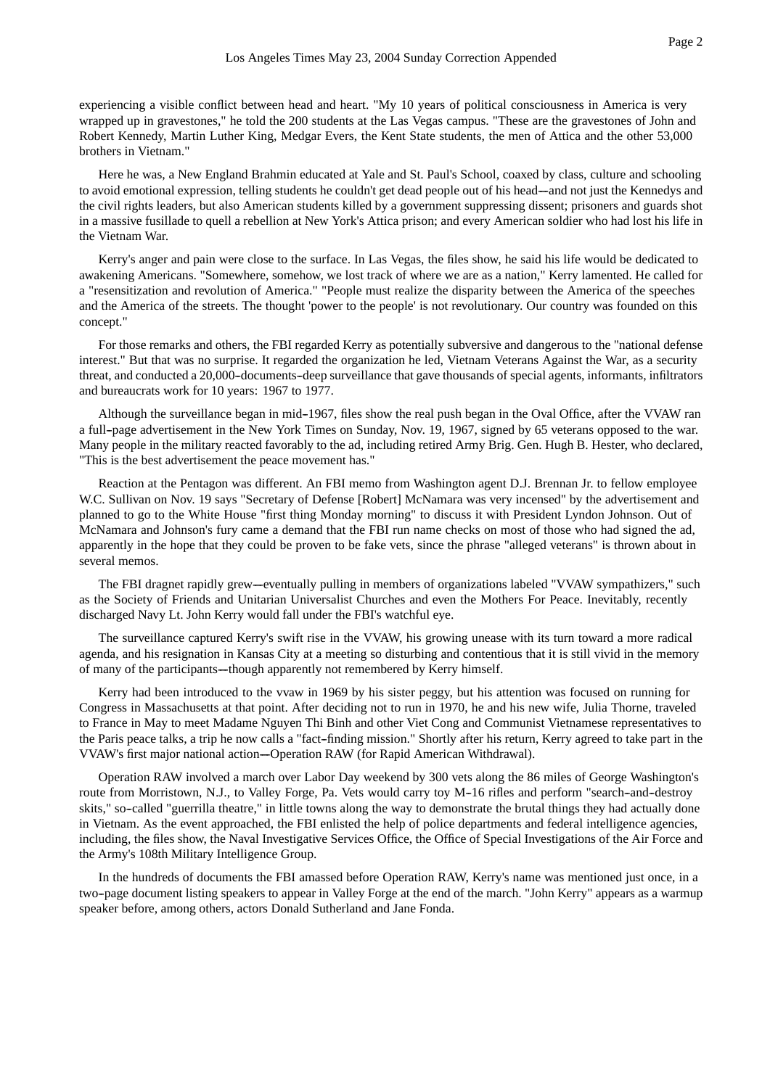experiencing a visible conflict between head and heart. "My 10 years of political consciousness in America is very wrapped up in gravestones," he told the 200 students at the Las Vegas campus. "These are the gravestones of John and Robert Kennedy, Martin Luther King, Medgar Evers, the Kent State students, the men of Attica and the other 53,000 brothers in Vietnam."

Here he was, a New England Brahmin educated at Yale and St. Paul's School, coaxed by class, culture and schooling to avoid emotional expression, telling students he couldn't get dead people out of his head-and not just the Kennedys and the civil rights leaders, but also American students killed by a government suppressing dissent; prisoners and guards shot in a massive fusillade to quell a rebellion at New York's Attica prison; and every American soldier who had lost his life in the Vietnam War.

Kerry's anger and pain were close to the surface. In Las Vegas, the files show, he said his life would be dedicated to awakening Americans. "Somewhere, somehow, we lost track of where we are as a nation," Kerry lamented. He called for a "resensitization and revolution of America." "People must realize the disparity between the America of the speeches and the America of the streets. The thought 'power to the people' is not revolutionary. Our country was founded on this concept."

For those remarks and others, the FBI regarded Kerry as potentially subversive and dangerous to the "national defense interest." But that was no surprise. It regarded the organization he led, Vietnam Veterans Against the War, as a security threat, and conducted a 20,000-documents-deep surveillance that gave thousands of special agents, informants, infiltrators and bureaucrats work for 10 years: 1967 to 1977.

Although the surveillance began in mid--1967, files show the real push began in the Oval Office, after the VVAW ran a full--page advertisement in the New York Times on Sunday, Nov. 19, 1967, signed by 65 veterans opposed to the war. Many people in the military reacted favorably to the ad, including retired Army Brig. Gen. Hugh B. Hester, who declared, "This is the best advertisement the peace movement has."

Reaction at the Pentagon was different. An FBI memo from Washington agent D.J. Brennan Jr. to fellow employee W.C. Sullivan on Nov. 19 says "Secretary of Defense [Robert] McNamara was very incensed" by the advertisement and planned to go to the White House "first thing Monday morning" to discuss it with President Lyndon Johnson. Out of McNamara and Johnson's fury came a demand that the FBI run name checks on most of those who had signed the ad, apparently in the hope that they could be proven to be fake vets, since the phrase "alleged veterans" is thrown about in several memos.

The FBI dragnet rapidly grew--eventually pulling in members of organizations labeled "VVAW sympathizers," such as the Society of Friends and Unitarian Universalist Churches and even the Mothers For Peace. Inevitably, recently discharged Navy Lt. John Kerry would fall under the FBI's watchful eye.

The surveillance captured Kerry's swift rise in the VVAW, his growing unease with its turn toward a more radical agenda, and his resignation in Kansas City at a meeting so disturbing and contentious that it is still vivid in the memory of many of the participants---though apparently not remembered by Kerry himself.

Kerry had been introduced to the vvaw in 1969 by his sister peggy, but his attention was focused on running for Congress in Massachusetts at that point. After deciding not to run in 1970, he and his new wife, Julia Thorne, traveled to France in May to meet Madame Nguyen Thi Binh and other Viet Cong and Communist Vietnamese representatives to the Paris peace talks, a trip he now calls a "fact--finding mission." Shortly after his return, Kerry agreed to take part in the VVAW's first major national action--Operation RAW (for Rapid American Withdrawal).

Operation RAW involved a march over Labor Day weekend by 300 vets along the 86 miles of George Washington's route from Morristown, N.J., to Valley Forge, Pa. Vets would carry toy M-16 rifles and perform "search-and-destroy skits," so--called "guerrilla theatre," in little towns along the way to demonstrate the brutal things they had actually done in Vietnam. As the event approached, the FBI enlisted the help of police departments and federal intelligence agencies, including, the files show, the Naval Investigative Services Office, the Office of Special Investigations of the Air Force and the Army's 108th Military Intelligence Group.

In the hundreds of documents the FBI amassed before Operation RAW, Kerry's name was mentioned just once, in a two-page document listing speakers to appear in Valley Forge at the end of the march. "John Kerry" appears as a warmup speaker before, among others, actors Donald Sutherland and Jane Fonda.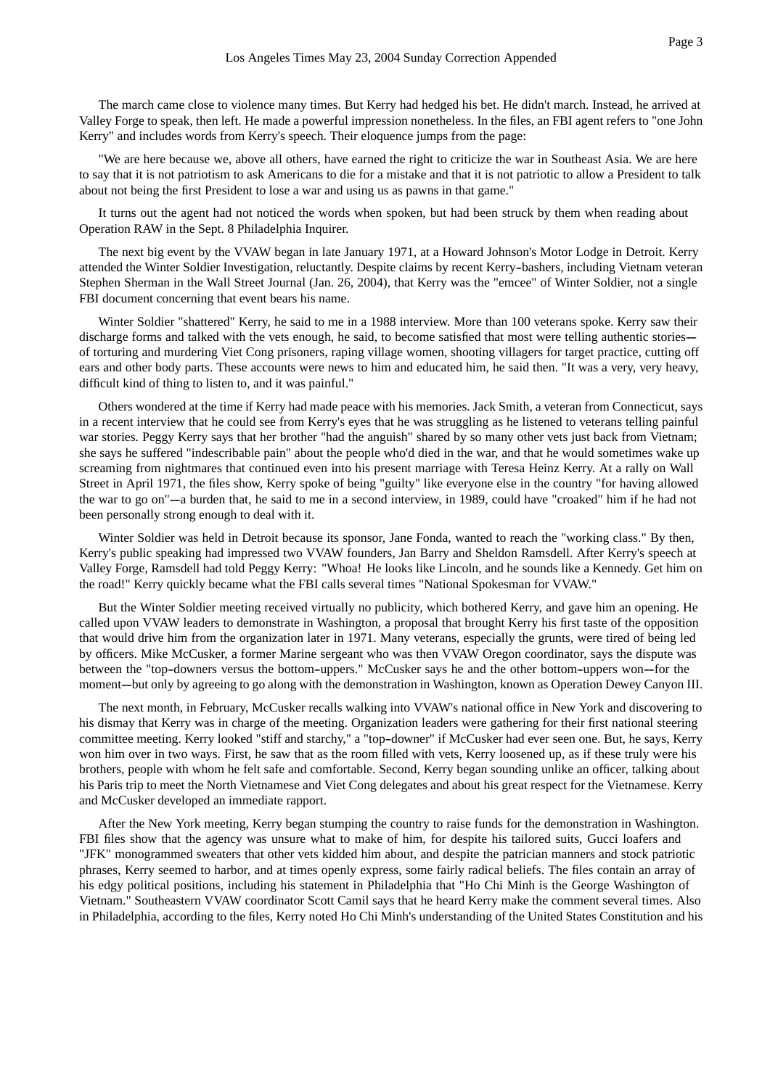The march came close to violence many times. But Kerry had hedged his bet. He didn't march. Instead, he arrived at Valley Forge to speak, then left. He made a powerful impression nonetheless. In the files, an FBI agent refers to "one John Kerry" and includes words from Kerry's speech. Their eloquence jumps from the page:

"We are here because we, above all others, have earned the right to criticize the war in Southeast Asia. We are here to say that it is not patriotism to ask Americans to die for a mistake and that it is not patriotic to allow a President to talk about not being the first President to lose a war and using us as pawns in that game."

It turns out the agent had not noticed the words when spoken, but had been struck by them when reading about Operation RAW in the Sept. 8 Philadelphia Inquirer.

The next big event by the VVAW began in late January 1971, at a Howard Johnson's Motor Lodge in Detroit. Kerry attended the Winter Soldier Investigation, reluctantly. Despite claims by recent Kerry--bashers, including Vietnam veteran Stephen Sherman in the Wall Street Journal (Jan. 26, 2004), that Kerry was the "emcee" of Winter Soldier, not a single FBI document concerning that event bears his name.

Winter Soldier "shattered" Kerry, he said to me in a 1988 interview. More than 100 veterans spoke. Kerry saw their discharge forms and talked with the vets enough, he said, to become satisfied that most were telling authentic stories—of torturing and murdering Viet Cong prisoners, raping village women, shooting villagers for target practice, cutting off ears and other body parts. These accounts were news to him and educated him, he said then. "It was a very, very heavy, difficult kind of thing to listen to, and it was painful."

Others wondered at the time if Kerry had made peace with his memories. Jack Smith, a veteran from Connecticut, says in a recent interview that he could see from Kerry's eyes that he was struggling as he listened to veterans telling painful war stories. Peggy Kerry says that her brother "had the anguish" shared by so many other vets just back from Vietnam; she says he suffered "indescribable pain" about the people who'd died in the war, and that he would sometimes wake up screaming from nightmares that continued even into his present marriage with Teresa Heinz Kerry. At a rally on Wall Street in April 1971, the files show, Kerry spoke of being "guilty" like everyone else in the country "for having allowed the war to go on"--a burden that, he said to me in a second interview, in 1989, could have "croaked" him if he had not been personally strong enough to deal with it.

Winter Soldier was held in Detroit because its sponsor, Jane Fonda, wanted to reach the "working class." By then, Kerry's public speaking had impressed two VVAW founders, Jan Barry and Sheldon Ramsdell. After Kerry's speech at Valley Forge, Ramsdell had told Peggy Kerry: "Whoa! He looks like Lincoln, and he sounds like a Kennedy. Get him on the road!" Kerry quickly became what the FBI calls several times "National Spokesman for VVAW."

But the Winter Soldier meeting received virtually no publicity, which bothered Kerry, and gave him an opening. He called upon VVAW leaders to demonstrate in Washington, a proposal that brought Kerry his first taste of the opposition that would drive him from the organization later in 1971. Many veterans, especially the grunts, were tired of being led by officers. Mike McCusker, a former Marine sergeant who was then VVAW Oregon coordinator, says the dispute was between the "top-downers versus the bottom-uppers." McCusker says he and the other bottom-uppers won--for the moment--but only by agreeing to go along with the demonstration in Washington, known as Operation Dewey Canyon III.

The next month, in February, McCusker recalls walking into VVAW's national office in New York and discovering to his dismay that Kerry was in charge of the meeting. Organization leaders were gathering for their first national steering committee meeting. Kerry looked "stiff and starchy," a "top--downer" if McCusker had ever seen one. But, he says, Kerry won him over in two ways. First, he saw that as the room filled with vets, Kerry loosened up, as if these truly were his brothers, people with whom he felt safe and comfortable. Second, Kerry began sounding unlike an officer, talking about his Paris trip to meet the North Vietnamese and Viet Cong delegates and about his great respect for the Vietnamese. Kerry and McCusker developed an immediate rapport.

After the New York meeting, Kerry began stumping the country to raise funds for the demonstration in Washington. FBI files show that the agency was unsure what to make of him, for despite his tailored suits, Gucci loafers and "JFK" monogrammed sweaters that other vets kidded him about, and despite the patrician manners and stock patriotic phrases, Kerry seemed to harbor, and at times openly express, some fairly radical beliefs. The files contain an array of his edgy political positions, including his statement in Philadelphia that "Ho Chi Minh is the George Washington of Vietnam." Southeastern VVAW coordinator Scott Camil says that he heard Kerry make the comment several times. Also in Philadelphia, according to the files, Kerry noted Ho Chi Minh's understanding of the United States Constitution and his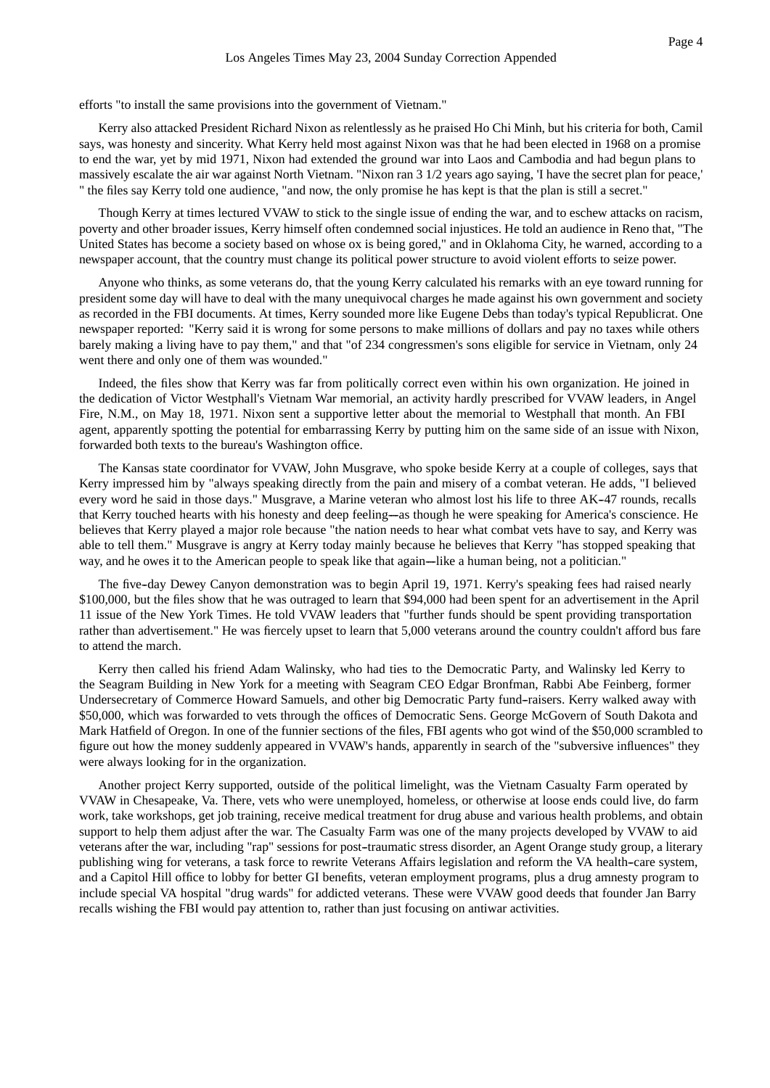efforts "to install the same provisions into the government of Vietnam."

Kerry also attacked President Richard Nixon as relentlessly as he praised Ho Chi Minh, but his criteria for both, Camil says, was honesty and sincerity. What Kerry held most against Nixon was that he had been elected in 1968 on a promise to end the war, yet by mid 1971, Nixon had extended the ground war into Laos and Cambodia and had begun plans to massively escalate the air war against North Vietnam. "Nixon ran 3 1/2 years ago saying, 'I have the secret plan for peace,' " the files say Kerry told one audience, "and now, the only promise he has kept is that the plan is still a secret."

Though Kerry at times lectured VVAW to stick to the single issue of ending the war, and to eschew attacks on racism, poverty and other broader issues, Kerry himself often condemned social injustices. He told an audience in Reno that, "The United States has become a society based on whose ox is being gored," and in Oklahoma City, he warned, according to a newspaper account, that the country must change its political power structure to avoid violent efforts to seize power.

Anyone who thinks, as some veterans do, that the young Kerry calculated his remarks with an eye toward running for president some day will have to deal with the many unequivocal charges he made against his own government and society as recorded in the FBI documents. At times, Kerry sounded more like Eugene Debs than today's typical Republicrat. One newspaper reported: "Kerry said it is wrong for some persons to make millions of dollars and pay no taxes while others barely making a living have to pay them," and that "of 234 congressmen's sons eligible for service in Vietnam, only 24 went there and only one of them was wounded."

Indeed, the files show that Kerry was far from politically correct even within his own organization. He joined in the dedication of Victor Westphall's Vietnam War memorial, an activity hardly prescribed for VVAW leaders, in Angel Fire, N.M., on May 18, 1971. Nixon sent a supportive letter about the memorial to Westphall that month. An FBI agent, apparently spotting the potential for embarrassing Kerry by putting him on the same side of an issue with Nixon, forwarded both texts to the bureau's Washington office.

The Kansas state coordinator for VVAW, John Musgrave, who spoke beside Kerry at a couple of colleges, says that Kerry impressed him by "always speaking directly from the pain and misery of a combat veteran. He adds, "I believed every word he said in those days." Musgrave, a Marine veteran who almost lost his life to three AK-47 rounds, recalls that Kerry touched hearts with his honesty and deep feeling-as though he were speaking for America's conscience. He believes that Kerry played a major role because "the nation needs to hear what combat vets have to say, and Kerry was able to tell them." Musgrave is angry at Kerry today mainly because he believes that Kerry "has stopped speaking that way, and he owes it to the American people to speak like that again—like a human being, not a politician."

The five-day Dewey Canyon demonstration was to begin April 19, 1971. Kerry's speaking fees had raised nearly \$100,000, but the files show that he was outraged to learn that \$94,000 had been spent for an advertisement in the April 11 issue of the New York Times. He told VVAW leaders that "further funds should be spent providing transportation rather than advertisement." He was fiercely upset to learn that 5,000 veterans around the country couldn't afford bus fare to attend the march.

Kerry then called his friend Adam Walinsky, who had ties to the Democratic Party, and Walinsky led Kerry to the Seagram Building in New York for a meeting with Seagram CEO Edgar Bronfman, Rabbi Abe Feinberg, former Undersecretary of Commerce Howard Samuels, and other big Democratic Party fund--raisers. Kerry walked away with \$50,000, which was forwarded to vets through the offices of Democratic Sens. George McGovern of South Dakota and Mark Hatfield of Oregon. In one of the funnier sections of the files, FBI agents who got wind of the \$50,000 scrambled to figure out how the money suddenly appeared in VVAW's hands, apparently in search of the "subversive influences" they were always looking for in the organization.

Another project Kerry supported, outside of the political limelight, was the Vietnam Casualty Farm operated by VVAW in Chesapeake, Va. There, vets who were unemployed, homeless, or otherwise at loose ends could live, do farm work, take workshops, get job training, receive medical treatment for drug abuse and various health problems, and obtain support to help them adjust after the war. The Casualty Farm was one of the many projects developed by VVAW to aid veterans after the war, including "rap" sessions for post--traumatic stress disorder, an Agent Orange study group, a literary publishing wing for veterans, a task force to rewrite Veterans Affairs legislation and reform the VA health--care system, and a Capitol Hill office to lobby for better GI benefits, veteran employment programs, plus a drug amnesty program to include special VA hospital "drug wards" for addicted veterans. These were VVAW good deeds that founder Jan Barry recalls wishing the FBI would pay attention to, rather than just focusing on antiwar activities.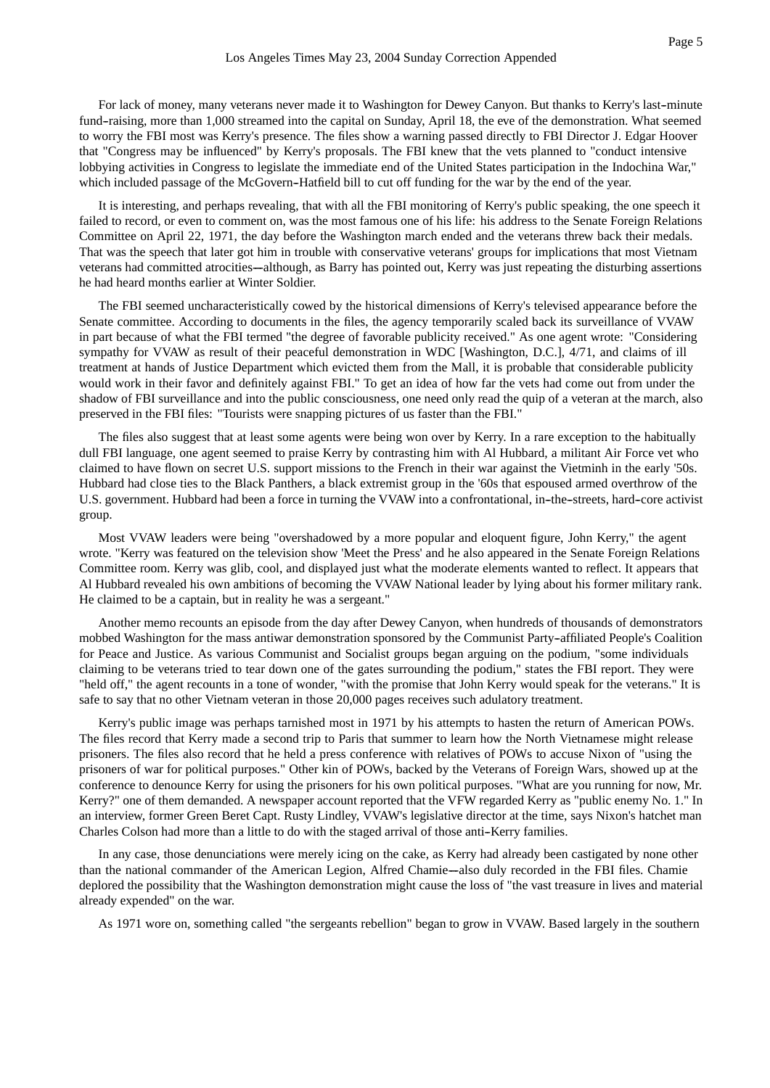For lack of money, many veterans never made it to Washington for Dewey Canyon. But thanks to Kerry's last-minute fund-raising, more than 1,000 streamed into the capital on Sunday, April 18, the eve of the demonstration. What seemed to worry the FBI most was Kerry's presence. The files show a warning passed directly to FBI Director J. Edgar Hoover that "Congress may be influenced" by Kerry's proposals. The FBI knew that the vets planned to "conduct intensive

lobbying activities in Congress to legislate the immediate end of the United States participation in the Indochina War," which included passage of the McGovern-Hatfield bill to cut off funding for the war by the end of the year.

It is interesting, and perhaps revealing, that with all the FBI monitoring of Kerry's public speaking, the one speech it failed to record, or even to comment on, was the most famous one of his life: his address to the Senate Foreign Relations Committee on April 22, 1971, the day before the Washington march ended and the veterans threw back their medals. That was the speech that later got him in trouble with conservative veterans' groups for implications that most Vietnam veterans had committed atrocities—although, as Barry has pointed out, Kerry was just repeating the disturbing assertions he had heard months earlier at Winter Soldier.

The FBI seemed uncharacteristically cowed by the historical dimensions of Kerry's televised appearance before the Senate committee. According to documents in the files, the agency temporarily scaled back its surveillance of VVAW in part because of what the FBI termed "the degree of favorable publicity received." As one agent wrote: "Considering sympathy for VVAW as result of their peaceful demonstration in WDC [Washington, D.C.], 4/71, and claims of ill treatment at hands of Justice Department which evicted them from the Mall, it is probable that considerable publicity would work in their favor and definitely against FBI." To get an idea of how far the vets had come out from under the shadow of FBI surveillance and into the public consciousness, one need only read the quip of a veteran at the march, also preserved in the FBI files: "Tourists were snapping pictures of us faster than the FBI."

The files also suggest that at least some agents were being won over by Kerry. In a rare exception to the habitually dull FBI language, one agent seemed to praise Kerry by contrasting him with Al Hubbard, a militant Air Force vet who claimed to have flown on secret U.S. support missions to the French in their war against the Vietminh in the early '50s. Hubbard had close ties to the Black Panthers, a black extremist group in the '60s that espoused armed overthrow of the U.S. government. Hubbard had been a force in turning the VVAW into a confrontational, in--the--streets, hard--core activist group.

Most VVAW leaders were being "overshadowed by a more popular and eloquent figure, John Kerry," the agent wrote. "Kerry was featured on the television show 'Meet the Press' and he also appeared in the Senate Foreign Relations Committee room. Kerry was glib, cool, and displayed just what the moderate elements wanted to reflect. It appears that Al Hubbard revealed his own ambitions of becoming the VVAW National leader by lying about his former military rank. He claimed to be a captain, but in reality he was a sergeant."

Another memo recounts an episode from the day after Dewey Canyon, when hundreds of thousands of demonstrators mobbed Washington for the mass antiwar demonstration sponsored by the Communist Party--affiliated People's Coalition for Peace and Justice. As various Communist and Socialist groups began arguing on the podium, "some individuals claiming to be veterans tried to tear down one of the gates surrounding the podium," states the FBI report. They were "held off," the agent recounts in a tone of wonder, "with the promise that John Kerry would speak for the veterans." It is safe to say that no other Vietnam veteran in those 20,000 pages receives such adulatory treatment.

Kerry's public image was perhaps tarnished most in 1971 by his attempts to hasten the return of American POWs. The files record that Kerry made a second trip to Paris that summer to learn how the North Vietnamese might release prisoners. The files also record that he held a press conference with relatives of POWs to accuse Nixon of "using the prisoners of war for political purposes." Other kin of POWs, backed by the Veterans of Foreign Wars, showed up at the conference to denounce Kerry for using the prisoners for his own political purposes. "What are you running for now, Mr. Kerry?" one of them demanded. A newspaper account reported that the VFW regarded Kerry as "public enemy No. 1." In an interview, former Green Beret Capt. Rusty Lindley, VVAW's legislative director at the time, says Nixon's hatchet man Charles Colson had more than a little to do with the staged arrival of those anti-Kerry families.

In any case, those denunciations were merely icing on the cake, as Kerry had already been castigated by none other than the national commander of the American Legion, Alfred Chamie--also duly recorded in the FBI files. Chamie deplored the possibility that the Washington demonstration might cause the loss of "the vast treasure in lives and material already expended" on the war.

As 1971 wore on, something called "the sergeants rebellion" began to grow in VVAW. Based largely in the southern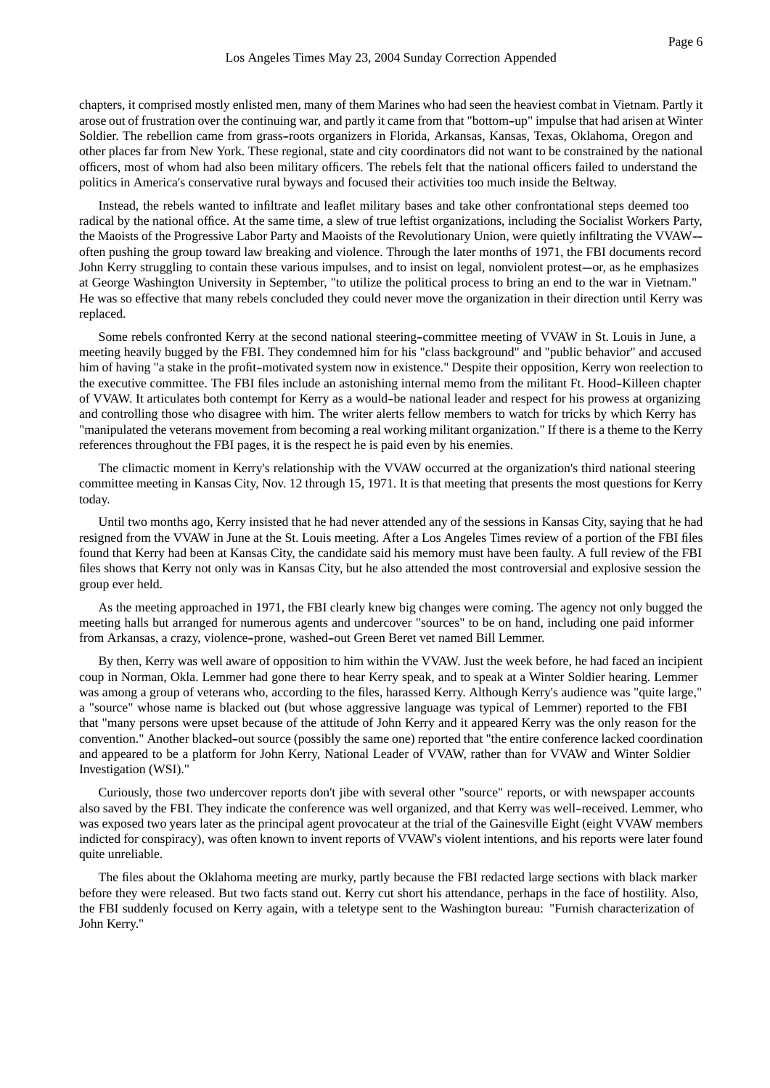chapters, it comprised mostly enlisted men, many of them Marines who had seen the heaviest combat in Vietnam. Partly it arose out of frustration over the continuing war, and partly it came from that "bottom--up" impulse that had arisen at Winter Soldier. The rebellion came from grass--roots organizers in Florida, Arkansas, Kansas, Texas, Oklahoma, Oregon and other places far from New York. These regional, state and city coordinators did not want to be constrained by the national officers, most of whom had also been military officers. The rebels felt that the national officers failed to understand the politics in America's conservative rural byways and focused their activities too much inside the Beltway.

Instead, the rebels wanted to infiltrate and leaflet military bases and take other confrontational steps deemed too radical by the national office. At the same time, a slew of true leftist organizations, including the Socialist Workers Party, the Maoists of the Progressive Labor Party and Maoists of the Revolutionary Union, were quietly infiltrating the VVAW-often pushing the group toward law breaking and violence. Through the later months of 1971, the FBI documents record John Kerry struggling to contain these various impulses, and to insist on legal, nonviolent protest—or, as he emphasizes at George Washington University in September, "to utilize the political process to bring an end to the war in Vietnam." He was so effective that many rebels concluded they could never move the organization in their direction until Kerry was replaced.

Some rebels confronted Kerry at the second national steering--committee meeting of VVAW in St. Louis in June, a meeting heavily bugged by the FBI. They condemned him for his "class background" and "public behavior" and accused him of having "a stake in the profit--motivated system now in existence." Despite their opposition, Kerry won reelection to the executive committee. The FBI files include an astonishing internal memo from the militant Ft. Hood--Killeen chapter of VVAW. It articulates both contempt for Kerry as a would-be national leader and respect for his prowess at organizing and controlling those who disagree with him. The writer alerts fellow members to watch for tricks by which Kerry has "manipulated the veterans movement from becoming a real working militant organization." If there is a theme to the Kerry references throughout the FBI pages, it is the respect he is paid even by his enemies.

The climactic moment in Kerry's relationship with the VVAW occurred at the organization's third national steering committee meeting in Kansas City, Nov. 12 through 15, 1971. It is that meeting that presents the most questions for Kerry today.

Until two months ago, Kerry insisted that he had never attended any of the sessions in Kansas City, saying that he had resigned from the VVAW in June at the St. Louis meeting. After a Los Angeles Times review of a portion of the FBI files found that Kerry had been at Kansas City, the candidate said his memory must have been faulty. A full review of the FBI files shows that Kerry not only was in Kansas City, but he also attended the most controversial and explosive session the group ever held.

As the meeting approached in 1971, the FBI clearly knew big changes were coming. The agency not only bugged the meeting halls but arranged for numerous agents and undercover "sources" to be on hand, including one paid informer from Arkansas, a crazy, violence-prone, washed-out Green Beret vet named Bill Lemmer.

By then, Kerry was well aware of opposition to him within the VVAW. Just the week before, he had faced an incipient coup in Norman, Okla. Lemmer had gone there to hear Kerry speak, and to speak at a Winter Soldier hearing. Lemmer was among a group of veterans who, according to the files, harassed Kerry. Although Kerry's audience was "quite large," a "source" whose name is blacked out (but whose aggressive language was typical of Lemmer) reported to the FBI that "many persons were upset because of the attitude of John Kerry and it appeared Kerry was the only reason for the convention." Another blacked--out source (possibly the same one) reported that "the entire conference lacked coordination and appeared to be a platform for John Kerry, National Leader of VVAW, rather than for VVAW and Winter Soldier Investigation (WSI)."

Curiously, those two undercover reports don't jibe with several other "source" reports, or with newspaper accounts also saved by the FBI. They indicate the conference was well organized, and that Kerry was well--received. Lemmer, who was exposed two years later as the principal agent provocateur at the trial of the Gainesville Eight (eight VVAW members indicted for conspiracy), was often known to invent reports of VVAW's violent intentions, and his reports were later found quite unreliable.

The files about the Oklahoma meeting are murky, partly because the FBI redacted large sections with black marker before they were released. But two facts stand out. Kerry cut short his attendance, perhaps in the face of hostility. Also, the FBI suddenly focused on Kerry again, with a teletype sent to the Washington bureau: "Furnish characterization of John Kerry."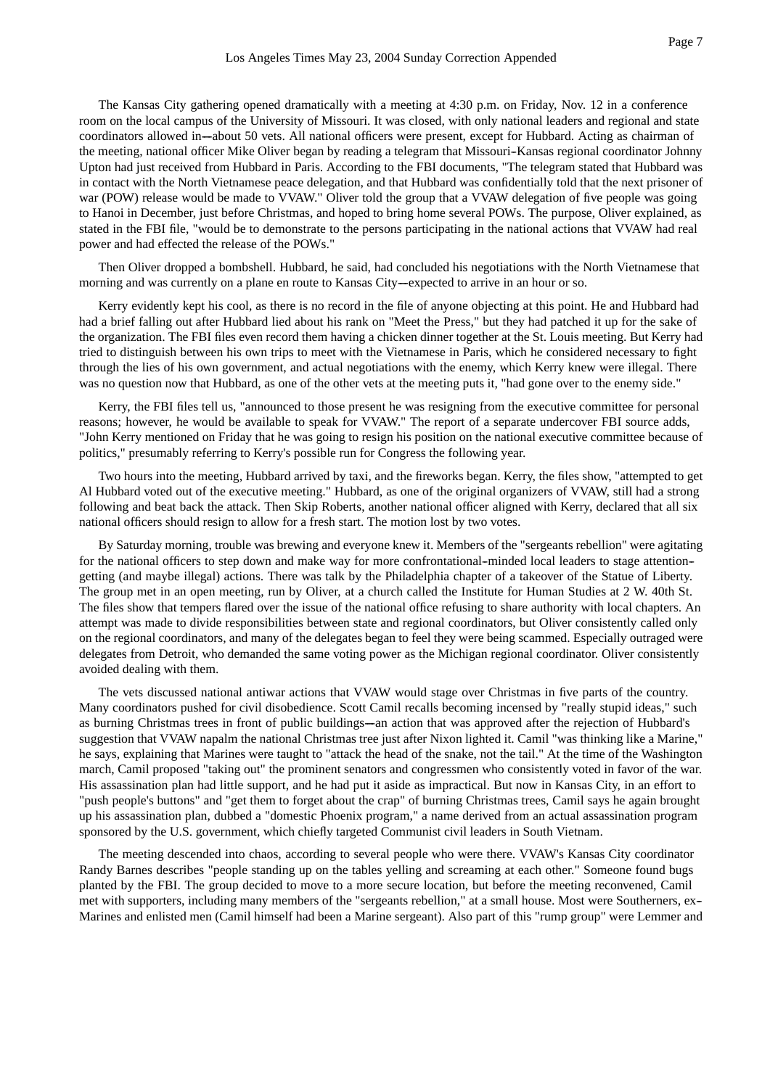The Kansas City gathering opened dramatically with a meeting at 4:30 p.m. on Friday, Nov. 12 in a conference room on the local campus of the University of Missouri. It was closed, with only national leaders and regional and state coordinators allowed in--about 50 vets. All national officers were present, except for Hubbard. Acting as chairman of the meeting, national officer Mike Oliver began by reading a telegram that Missouri--Kansas regional coordinator Johnny Upton had just received from Hubbard in Paris. According to the FBI documents, "The telegram stated that Hubbard was in contact with the North Vietnamese peace delegation, and that Hubbard was confidentially told that the next prisoner of war (POW) release would be made to VVAW." Oliver told the group that a VVAW delegation of five people was going to Hanoi in December, just before Christmas, and hoped to bring home several POWs. The purpose, Oliver explained, as stated in the FBI file, "would be to demonstrate to the persons participating in the national actions that VVAW had real power and had effected the release of the POWs."

Then Oliver dropped a bombshell. Hubbard, he said, had concluded his negotiations with the North Vietnamese that morning and was currently on a plane en route to Kansas City-expected to arrive in an hour or so.

Kerry evidently kept his cool, as there is no record in the file of anyone objecting at this point. He and Hubbard had had a brief falling out after Hubbard lied about his rank on "Meet the Press," but they had patched it up for the sake of the organization. The FBI files even record them having a chicken dinner together at the St. Louis meeting. But Kerry had tried to distinguish between his own trips to meet with the Vietnamese in Paris, which he considered necessary to fight through the lies of his own government, and actual negotiations with the enemy, which Kerry knew were illegal. There was no question now that Hubbard, as one of the other vets at the meeting puts it, "had gone over to the enemy side."

Kerry, the FBI files tell us, "announced to those present he was resigning from the executive committee for personal reasons; however, he would be available to speak for VVAW." The report of a separate undercover FBI source adds, "John Kerry mentioned on Friday that he was going to resign his position on the national executive committee because of politics," presumably referring to Kerry's possible run for Congress the following year.

Two hours into the meeting, Hubbard arrived by taxi, and the fireworks began. Kerry, the files show, "attempted to get Al Hubbard voted out of the executive meeting." Hubbard, as one of the original organizers of VVAW, still had a strong following and beat back the attack. Then Skip Roberts, another national officer aligned with Kerry, declared that all six national officers should resign to allow for a fresh start. The motion lost by two votes.

By Saturday morning, trouble was brewing and everyone knew it. Members of the "sergeants rebellion" were agitating for the national officers to step down and make way for more confrontational--minded local leaders to stage attention- getting (and maybe illegal) actions. There was talk by the Philadelphia chapter of a takeover of the Statue of Liberty. The group met in an open meeting, run by Oliver, at a church called the Institute for Human Studies at 2 W. 40th St. The files show that tempers flared over the issue of the national office refusing to share authority with local chapters. An attempt was made to divide responsibilities between state and regional coordinators, but Oliver consistently called only on the regional coordinators, and many of the delegates began to feel they were being scammed. Especially outraged were delegates from Detroit, who demanded the same voting power as the Michigan regional coordinator. Oliver consistently avoided dealing with them.

The vets discussed national antiwar actions that VVAW would stage over Christmas in five parts of the country. Many coordinators pushed for civil disobedience. Scott Camil recalls becoming incensed by "really stupid ideas," such as burning Christmas trees in front of public buildings—an action that was approved after the rejection of Hubbard's suggestion that VVAW napalm the national Christmas tree just after Nixon lighted it. Camil "was thinking like a Marine," he says, explaining that Marines were taught to "attack the head of the snake, not the tail." At the time of the Washington march, Camil proposed "taking out" the prominent senators and congressmen who consistently voted in favor of the war. His assassination plan had little support, and he had put it aside as impractical. But now in Kansas City, in an effort to "push people's buttons" and "get them to forget about the crap" of burning Christmas trees, Camil says he again brought up his assassination plan, dubbed a "domestic Phoenix program," a name derived from an actual assassination program sponsored by the U.S. government, which chiefly targeted Communist civil leaders in South Vietnam.

The meeting descended into chaos, according to several people who were there. VVAW's Kansas City coordinator Randy Barnes describes "people standing up on the tables yelling and screaming at each other." Someone found bugs planted by the FBI. The group decided to move to a more secure location, but before the meeting reconvened, Camil met with supporters, including many members of the "sergeants rebellion," at a small house. Most were Southerners, ex-- Marines and enlisted men (Camil himself had been a Marine sergeant). Also part of this "rump group" were Lemmer and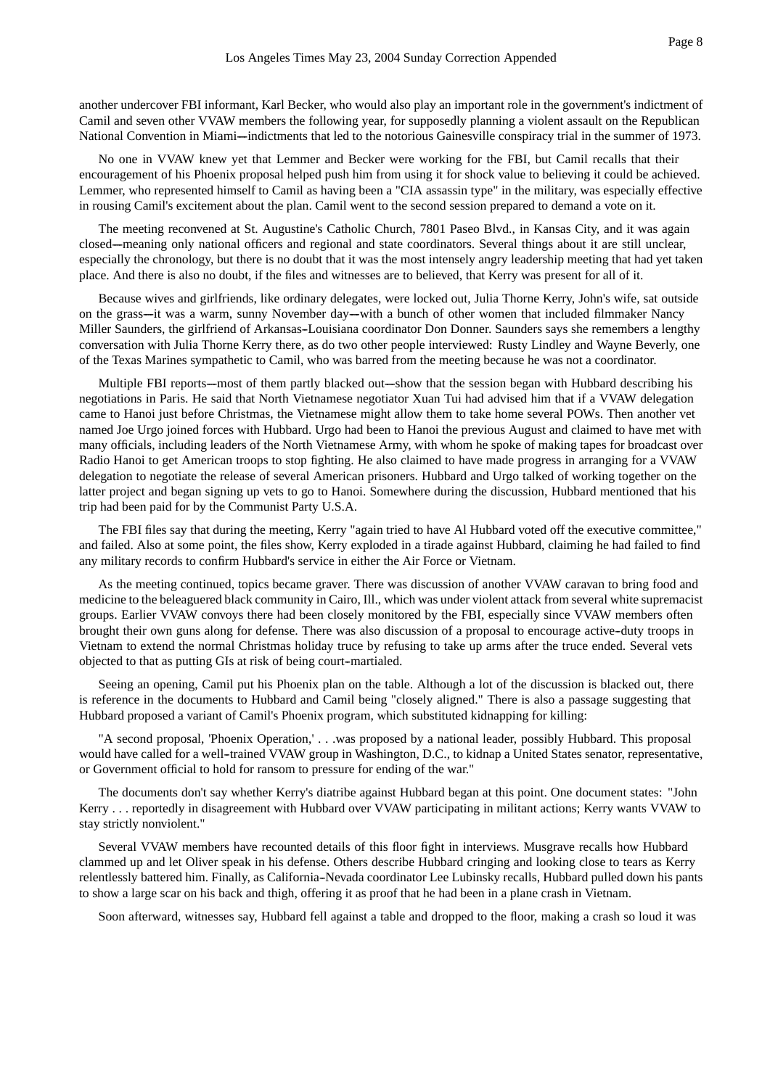another undercover FBI informant, Karl Becker, who would also play an important role in the government's indictment of Camil and seven other VVAW members the following year, for supposedly planning a violent assault on the Republican National Convention in Miami--indictments that led to the notorious Gainesville conspiracy trial in the summer of 1973.

No one in VVAW knew yet that Lemmer and Becker were working for the FBI, but Camil recalls that their encouragement of his Phoenix proposal helped push him from using it for shock value to believing it could be achieved. Lemmer, who represented himself to Camil as having been a "CIA assassin type" in the military, was especially effective in rousing Camil's excitement about the plan. Camil went to the second session prepared to demand a vote on it.

The meeting reconvened at St. Augustine's Catholic Church, 7801 Paseo Blvd., in Kansas City, and it was again closed--meaning only national officers and regional and state coordinators. Several things about it are still unclear, especially the chronology, but there is no doubt that it was the most intensely angry leadership meeting that had yet taken place. And there is also no doubt, if the files and witnesses are to believed, that Kerry was present for all of it.

Because wives and girlfriends, like ordinary delegates, were locked out, Julia Thorne Kerry, John's wife, sat outside on the grass--it was a warm, sunny November day--with a bunch of other women that included filmmaker Nancy Miller Saunders, the girlfriend of Arkansas--Louisiana coordinator Don Donner. Saunders says she remembers a lengthy conversation with Julia Thorne Kerry there, as do two other people interviewed: Rusty Lindley and Wayne Beverly, one of the Texas Marines sympathetic to Camil, who was barred from the meeting because he was not a coordinator.

Multiple FBI reports—most of them partly blacked out—show that the session began with Hubbard describing his negotiations in Paris. He said that North Vietnamese negotiator Xuan Tui had advised him that if a VVAW delegation came to Hanoi just before Christmas, the Vietnamese might allow them to take home several POWs. Then another vet named Joe Urgo joined forces with Hubbard. Urgo had been to Hanoi the previous August and claimed to have met with many officials, including leaders of the North Vietnamese Army, with whom he spoke of making tapes for broadcast over Radio Hanoi to get American troops to stop fighting. He also claimed to have made progress in arranging for a VVAW delegation to negotiate the release of several American prisoners. Hubbard and Urgo talked of working together on the latter project and began signing up vets to go to Hanoi. Somewhere during the discussion, Hubbard mentioned that his trip had been paid for by the Communist Party U.S.A.

The FBI files say that during the meeting, Kerry "again tried to have Al Hubbard voted off the executive committee," and failed. Also at some point, the files show, Kerry exploded in a tirade against Hubbard, claiming he had failed to find any military records to confirm Hubbard's service in either the Air Force or Vietnam.

As the meeting continued, topics became graver. There was discussion of another VVAW caravan to bring food and medicine to the beleaguered black community in Cairo, Ill., which was under violent attack from several white supremacist groups. Earlier VVAW convoys there had been closely monitored by the FBI, especially since VVAW members often brought their own guns along for defense. There was also discussion of a proposal to encourage active-duty troops in Vietnam to extend the normal Christmas holiday truce by refusing to take up arms after the truce ended. Several vets objected to that as putting GIs at risk of being court-martialed.

Seeing an opening, Camil put his Phoenix plan on the table. Although a lot of the discussion is blacked out, there is reference in the documents to Hubbard and Camil being "closely aligned." There is also a passage suggesting that Hubbard proposed a variant of Camil's Phoenix program, which substituted kidnapping for killing:

"A second proposal, 'Phoenix Operation,' . . .was proposed by a national leader, possibly Hubbard. This proposal would have called for a well-trained VVAW group in Washington, D.C., to kidnap a United States senator, representative, or Government official to hold for ransom to pressure for ending of the war."

The documents don't say whether Kerry's diatribe against Hubbard began at this point. One document states: "John Kerry . . . reportedly in disagreement with Hubbard over VVAW participating in militant actions; Kerry wants VVAW to stay strictly nonviolent."

Several VVAW members have recounted details of this floor fight in interviews. Musgrave recalls how Hubbard clammed up and let Oliver speak in his defense. Others describe Hubbard cringing and looking close to tears as Kerry relentlessly battered him. Finally, as California--Nevada coordinator Lee Lubinsky recalls, Hubbard pulled down his pants to show a large scar on his back and thigh, offering it as proof that he had been in a plane crash in Vietnam.

Soon afterward, witnesses say, Hubbard fell against a table and dropped to the floor, making a crash so loud it was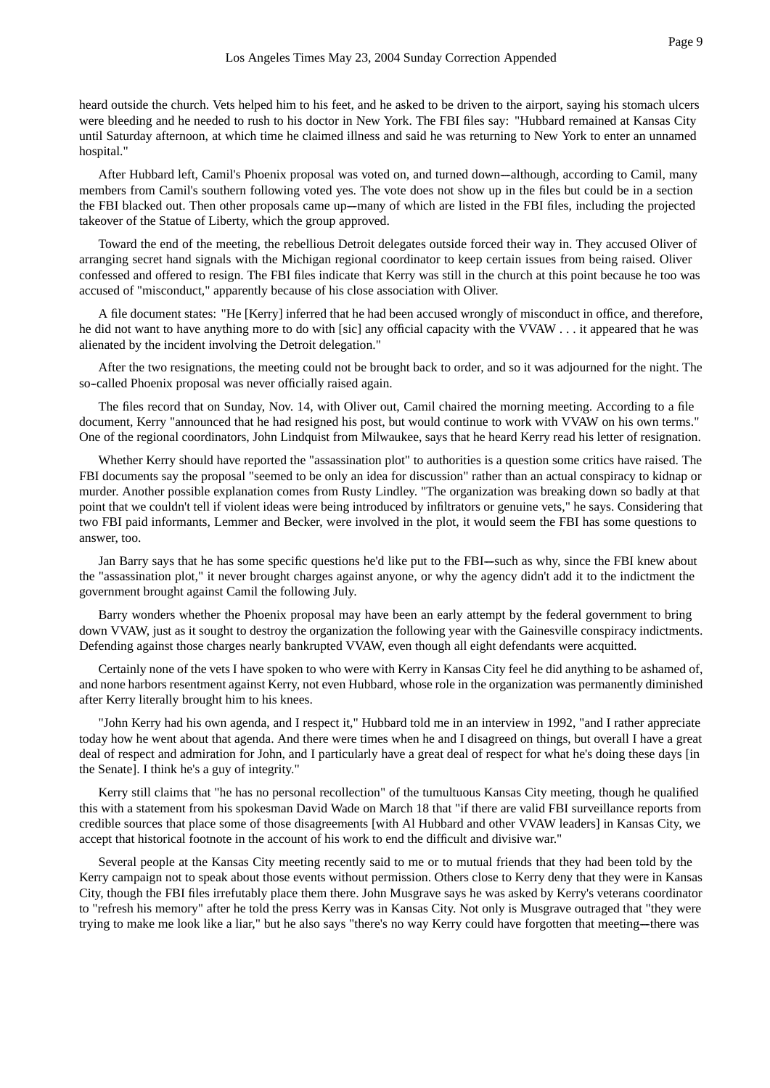heard outside the church. Vets helped him to his feet, and he asked to be driven to the airport, saying his stomach ulcers were bleeding and he needed to rush to his doctor in New York. The FBI files say: "Hubbard remained at Kansas City until Saturday afternoon, at which time he claimed illness and said he was returning to New York to enter an unnamed hospital."

After Hubbard left, Camil's Phoenix proposal was voted on, and turned down—although, according to Camil, many members from Camil's southern following voted yes. The vote does not show up in the files but could be in a section the FBI blacked out. Then other proposals came up—many of which are listed in the FBI files, including the projected takeover of the Statue of Liberty, which the group approved.

Toward the end of the meeting, the rebellious Detroit delegates outside forced their way in. They accused Oliver of arranging secret hand signals with the Michigan regional coordinator to keep certain issues from being raised. Oliver confessed and offered to resign. The FBI files indicate that Kerry was still in the church at this point because he too was accused of "misconduct," apparently because of his close association with Oliver.

A file document states: "He [Kerry] inferred that he had been accused wrongly of misconduct in office, and therefore, he did not want to have anything more to do with [sic] any official capacity with the VVAW . . . it appeared that he was alienated by the incident involving the Detroit delegation."

After the two resignations, the meeting could not be brought back to order, and so it was adjourned for the night. The so-called Phoenix proposal was never officially raised again.

The files record that on Sunday, Nov. 14, with Oliver out, Camil chaired the morning meeting. According to a file document, Kerry "announced that he had resigned his post, but would continue to work with VVAW on his own terms." One of the regional coordinators, John Lindquist from Milwaukee, says that he heard Kerry read his letter of resignation.

Whether Kerry should have reported the "assassination plot" to authorities is a question some critics have raised. The FBI documents say the proposal "seemed to be only an idea for discussion" rather than an actual conspiracy to kidnap or murder. Another possible explanation comes from Rusty Lindley. "The organization was breaking down so badly at that point that we couldn't tell if violent ideas were being introduced by infiltrators or genuine vets," he says. Considering that two FBI paid informants, Lemmer and Becker, were involved in the plot, it would seem the FBI has some questions to answer, too.

Jan Barry says that he has some specific questions he'd like put to the FBI-such as why, since the FBI knew about the "assassination plot," it never brought charges against anyone, or why the agency didn't add it to the indictment the government brought against Camil the following July.

Barry wonders whether the Phoenix proposal may have been an early attempt by the federal government to bring down VVAW, just as it sought to destroy the organization the following year with the Gainesville conspiracy indictments. Defending against those charges nearly bankrupted VVAW, even though all eight defendants were acquitted.

Certainly none of the vets I have spoken to who were with Kerry in Kansas City feel he did anything to be ashamed of, and none harbors resentment against Kerry, not even Hubbard, whose role in the organization was permanently diminished after Kerry literally brought him to his knees.

"John Kerry had his own agenda, and I respect it," Hubbard told me in an interview in 1992, "and I rather appreciate today how he went about that agenda. And there were times when he and I disagreed on things, but overall I have a great deal of respect and admiration for John, and I particularly have a great deal of respect for what he's doing these days [in the Senate]. I think he's a guy of integrity."

Kerry still claims that "he has no personal recollection" of the tumultuous Kansas City meeting, though he qualified this with a statement from his spokesman David Wade on March 18 that "if there are valid FBI surveillance reports from credible sources that place some of those disagreements [with Al Hubbard and other VVAW leaders] in Kansas City, we accept that historical footnote in the account of his work to end the difficult and divisive war."

Several people at the Kansas City meeting recently said to me or to mutual friends that they had been told by the Kerry campaign not to speak about those events without permission. Others close to Kerry deny that they were in Kansas City, though the FBI files irrefutably place them there. John Musgrave says he was asked by Kerry's veterans coordinator to "refresh his memory" after he told the press Kerry was in Kansas City. Not only is Musgrave outraged that "they were trying to make me look like a liar," but he also says "there's no way Kerry could have forgotten that meeting—there was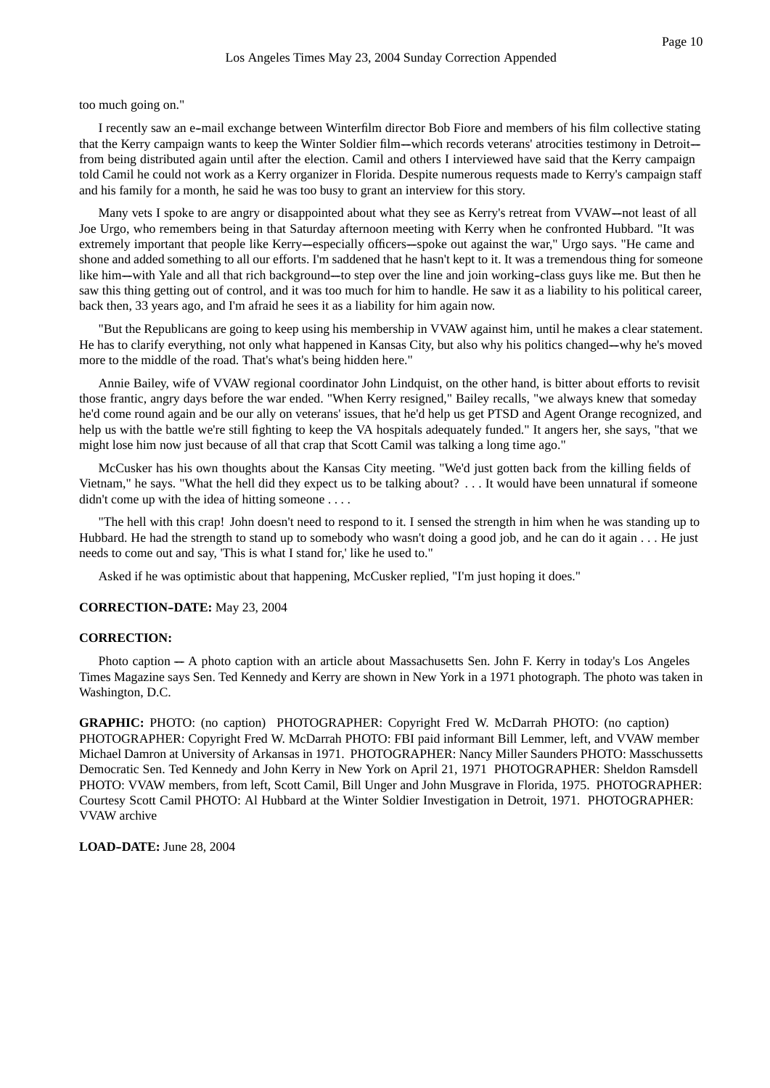too much going on."

I recently saw an e--mail exchange between Winterfilm director Bob Fiore and members of his film collective stating that the Kerry campaign wants to keep the Winter Soldier film—which records veterans' atrocities testimony in Detroit from being distributed again until after the election. Camil and others I interviewed have said that the Kerry campaign told Camil he could not work as a Kerry organizer in Florida. Despite numerous requests made to Kerry's campaign staff and his family for a month, he said he was too busy to grant an interview for this story.

Many vets I spoke to are angry or disappointed about what they see as Kerry's retreat from VVAW—not least of all Joe Urgo, who remembers being in that Saturday afternoon meeting with Kerry when he confronted Hubbard. "It was extremely important that people like Kerry-especially officers--spoke out against the war," Urgo says. "He came and shone and added something to all our efforts. I'm saddened that he hasn't kept to it. It was a tremendous thing for someone like him—with Yale and all that rich background—to step over the line and join working-class guys like me. But then he saw this thing getting out of control, and it was too much for him to handle. He saw it as a liability to his political career, back then, 33 years ago, and I'm afraid he sees it as a liability for him again now.

"But the Republicans are going to keep using his membership in VVAW against him, until he makes a clear statement. He has to clarify everything, not only what happened in Kansas City, but also why his politics changed—why he's moved more to the middle of the road. That's what's being hidden here."

Annie Bailey, wife of VVAW regional coordinator John Lindquist, on the other hand, is bitter about efforts to revisit those frantic, angry days before the war ended. "When Kerry resigned," Bailey recalls, "we always knew that someday he'd come round again and be our ally on veterans' issues, that he'd help us get PTSD and Agent Orange recognized, and help us with the battle we're still fighting to keep the VA hospitals adequately funded." It angers her, she says, "that we might lose him now just because of all that crap that Scott Camil was talking a long time ago."

McCusker has his own thoughts about the Kansas City meeting. "We'd just gotten back from the killing fields of Vietnam," he says. "What the hell did they expect us to be talking about? . . . It would have been unnatural if someone didn't come up with the idea of hitting someone . . . .

"The hell with this crap! John doesn't need to respond to it. I sensed the strength in him when he was standing up to Hubbard. He had the strength to stand up to somebody who wasn't doing a good job, and he can do it again . . . He just needs to come out and say, 'This is what I stand for,' like he used to."

Asked if he was optimistic about that happening, McCusker replied, "I'm just hoping it does."

**CORRECTION--DATE:** May 23, 2004

# **CORRECTION:**

Photo caption ----- A photo caption with an article about Massachusetts Sen. John F. Kerry in today's Los Angeles Times Magazine says Sen. Ted Kennedy and Kerry are shown in New York in a 1971 photograph. The photo was taken in Washington, D.C.

**GRAPHIC:** PHOTO: (no caption) PHOTOGRAPHER: Copyright Fred W. McDarrah PHOTO: (no caption) PHOTOGRAPHER: Copyright Fred W. McDarrah PHOTO: FBI paid informant Bill Lemmer, left, and VVAW member Michael Damron at University of Arkansas in 1971. PHOTOGRAPHER: Nancy Miller Saunders PHOTO: Masschussetts Democratic Sen. Ted Kennedy and John Kerry in New York on April 21, 1971 PHOTOGRAPHER: Sheldon Ramsdell PHOTO: VVAW members, from left, Scott Camil, Bill Unger and John Musgrave in Florida, 1975. PHOTOGRAPHER: Courtesy Scott Camil PHOTO: Al Hubbard at the Winter Soldier Investigation in Detroit, 1971. PHOTOGRAPHER: VVAW archive

**LOAD--DATE:** June 28, 2004